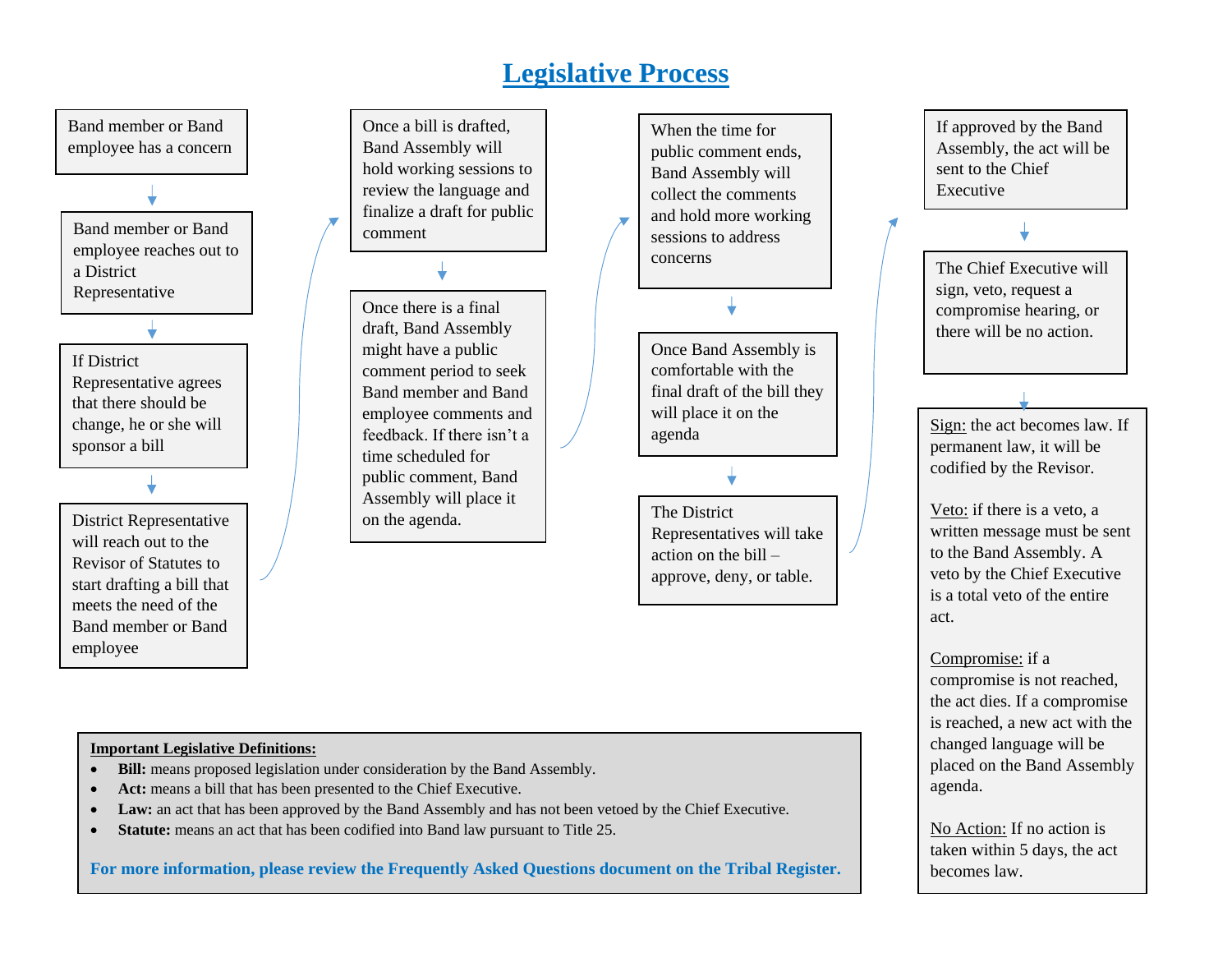# **Legislative Process**



sent to the Chief Executive The Chief Executive will sign, veto, request a compromise hearing, or there will be no action.

If approved by the Band Assembly, the act will be

Sign: the act becomes law. If permanent law, it will be codified by the Revisor.

Veto: if there is a veto, a written message must be sent to the Band Assembly. A veto by the Chief Executive is a total veto of the entire act.

Compromise: if a compromise is not reached, the act dies. If a compromise is reached, a new act with the changed language will be placed on the Band Assembly agenda.

No Action: If no action is taken within 5 days, the act becomes law.

#### **Important Legislative Definitions:**

- **Bill:** means proposed legislation under consideration by the Band Assembly.
- **Act:** means a bill that has been presented to the Chief Executive.
- **Law:** an act that has been approved by the Band Assembly and has not been vetoed by the Chief Executive.
- **Statute:** means an act that has been codified into Band law pursuant to Title 25.

**For more information, please review the Frequently Asked Questions document on the Tribal Register.**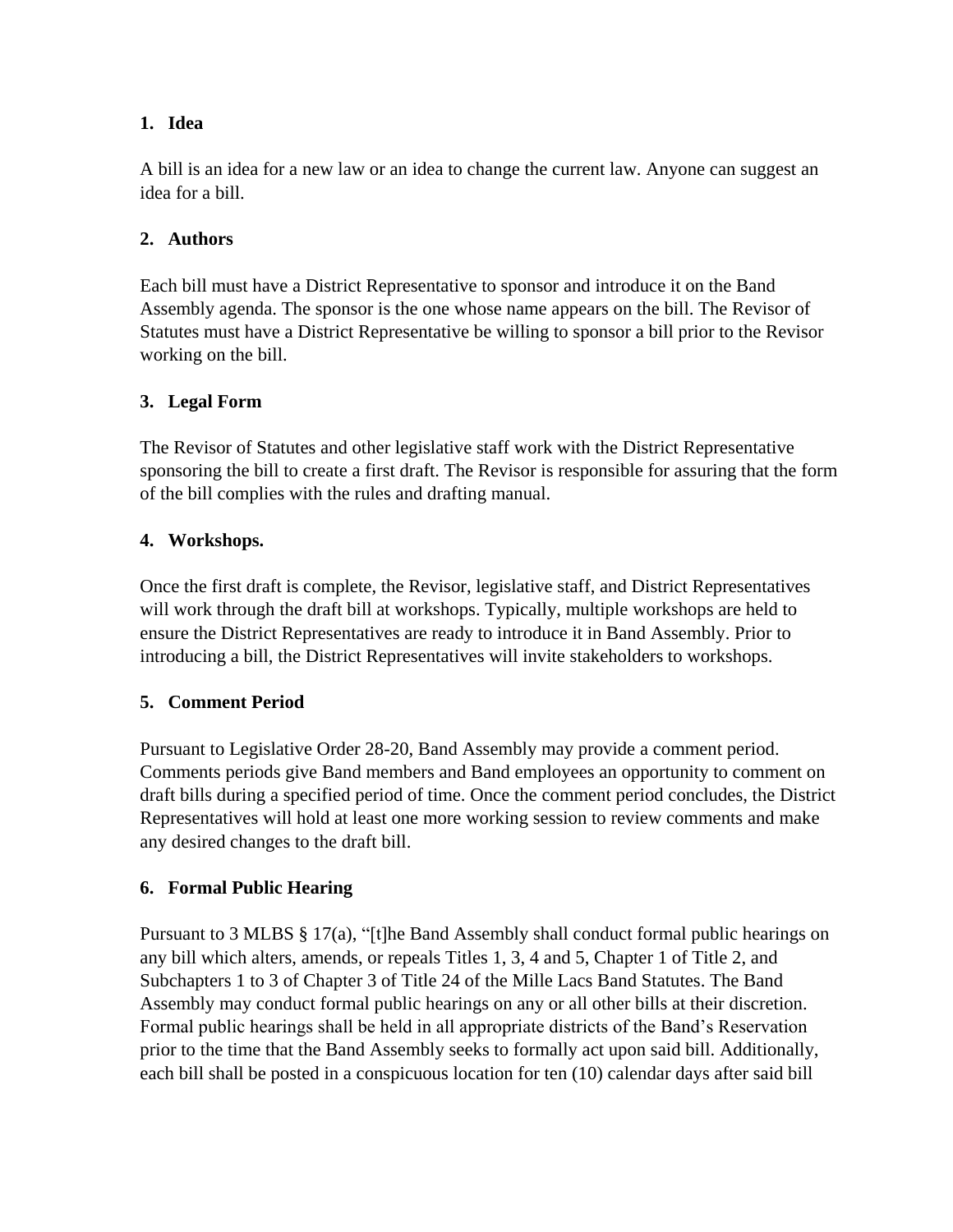#### **1. Idea**

A bill is an idea for a new law or an idea to change the current law. Anyone can suggest an idea for a bill.

## **2. Authors**

Each bill must have a District Representative to sponsor and introduce it on the Band Assembly agenda. The sponsor is the one whose name appears on the bill. The Revisor of Statutes must have a District Representative be willing to sponsor a bill prior to the Revisor working on the bill.

### **3. Legal Form**

The Revisor of Statutes and other legislative staff work with the District Representative sponsoring the bill to create a first draft. The Revisor is responsible for assuring that the form of the bill complies with the rules and drafting manual.

### **4. Workshops.**

Once the first draft is complete, the Revisor, legislative staff, and District Representatives will work through the draft bill at workshops. Typically, multiple workshops are held to ensure the District Representatives are ready to introduce it in Band Assembly. Prior to introducing a bill, the District Representatives will invite stakeholders to workshops.

#### **5. Comment Period**

Pursuant to Legislative Order 28-20, Band Assembly may provide a comment period. Comments periods give Band members and Band employees an opportunity to comment on draft bills during a specified period of time. Once the comment period concludes, the District Representatives will hold at least one more working session to review comments and make any desired changes to the draft bill.

#### **6. Formal Public Hearing**

Pursuant to 3 MLBS § 17(a), "[t]he Band Assembly shall conduct formal public hearings on any bill which alters, amends, or repeals Titles 1, 3, 4 and 5, Chapter 1 of Title 2, and Subchapters 1 to 3 of Chapter 3 of Title 24 of the Mille Lacs Band Statutes. The Band Assembly may conduct formal public hearings on any or all other bills at their discretion. Formal public hearings shall be held in all appropriate districts of the Band's Reservation prior to the time that the Band Assembly seeks to formally act upon said bill. Additionally, each bill shall be posted in a conspicuous location for ten (10) calendar days after said bill